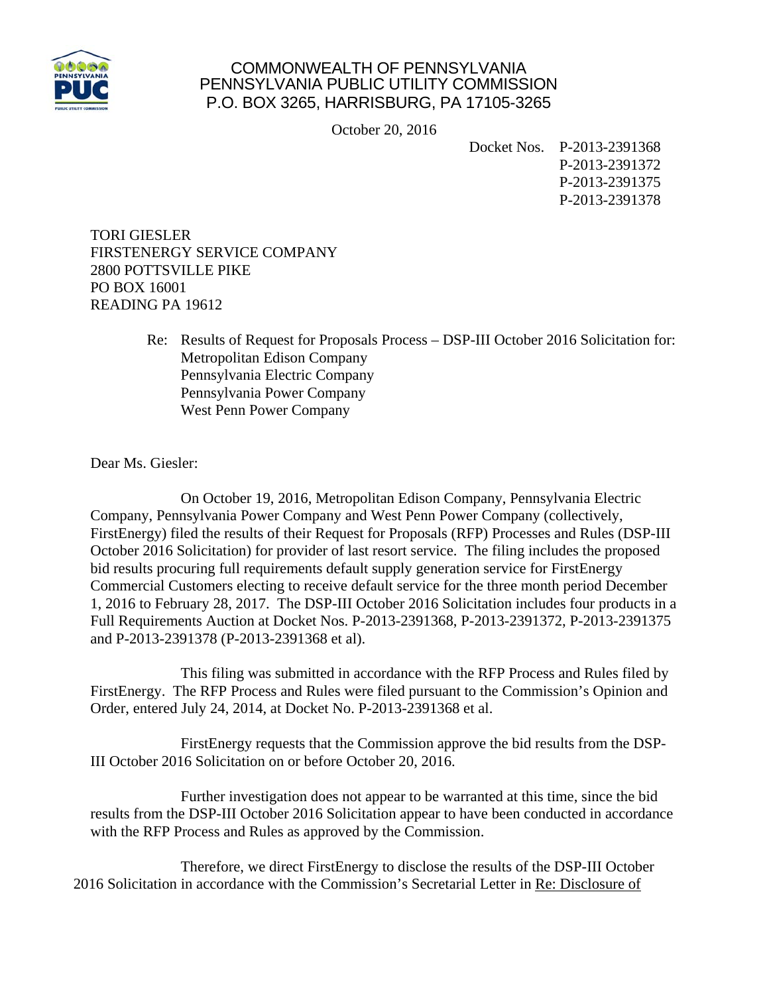

## COMMONWEALTH OF PENNSYLVANIA PENNSYLVANIA PUBLIC UTILITY COMMISSION P.O. BOX 3265, HARRISBURG, PA 17105-3265

October 20, 2016

Docket Nos. P-2013-2391368 P-2013-2391372 P-2013-2391375 P-2013-2391378

TORI GIESLER FIRSTENERGY SERVICE COMPANY 2800 POTTSVILLE PIKE PO BOX 16001 READING PA 19612

> Re: Results of Request for Proposals Process – DSP-III October 2016 Solicitation for: Metropolitan Edison Company Pennsylvania Electric Company Pennsylvania Power Company West Penn Power Company

Dear Ms. Giesler:

 On October 19, 2016, Metropolitan Edison Company, Pennsylvania Electric Company, Pennsylvania Power Company and West Penn Power Company (collectively, FirstEnergy) filed the results of their Request for Proposals (RFP) Processes and Rules (DSP-III October 2016 Solicitation) for provider of last resort service. The filing includes the proposed bid results procuring full requirements default supply generation service for FirstEnergy Commercial Customers electing to receive default service for the three month period December 1, 2016 to February 28, 2017. The DSP-III October 2016 Solicitation includes four products in a Full Requirements Auction at Docket Nos. P-2013-2391368, P-2013-2391372, P-2013-2391375 and P-2013-2391378 (P-2013-2391368 et al).

 This filing was submitted in accordance with the RFP Process and Rules filed by FirstEnergy. The RFP Process and Rules were filed pursuant to the Commission's Opinion and Order, entered July 24, 2014, at Docket No. P-2013-2391368 et al.

 FirstEnergy requests that the Commission approve the bid results from the DSP-III October 2016 Solicitation on or before October 20, 2016.

 Further investigation does not appear to be warranted at this time, since the bid results from the DSP-III October 2016 Solicitation appear to have been conducted in accordance with the RFP Process and Rules as approved by the Commission.

 Therefore, we direct FirstEnergy to disclose the results of the DSP-III October 2016 Solicitation in accordance with the Commission's Secretarial Letter in Re: Disclosure of